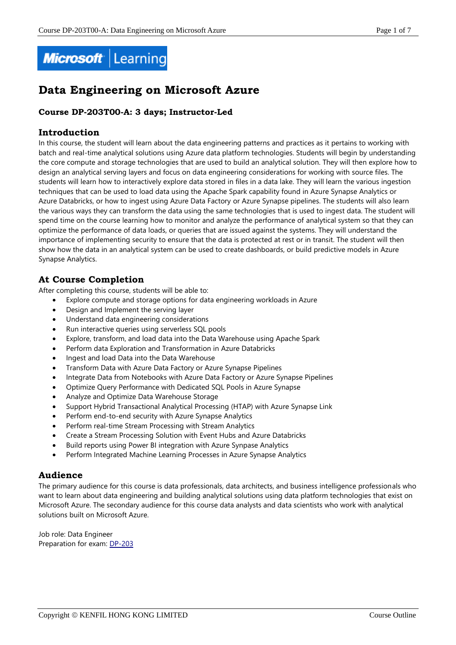

# **Data Engineering on Microsoft Azure**

### **Course DP-203T00-A: 3 days; Instructor-Led**

### **Introduction**

In this course, the student will learn about the data engineering patterns and practices as it pertains to working with batch and real-time analytical solutions using Azure data platform technologies. Students will begin by understanding the core compute and storage technologies that are used to build an analytical solution. They will then explore how to design an analytical serving layers and focus on data engineering considerations for working with source files. The students will learn how to interactively explore data stored in files in a data lake. They will learn the various ingestion techniques that can be used to load data using the Apache Spark capability found in Azure Synapse Analytics or Azure Databricks, or how to ingest using Azure Data Factory or Azure Synapse pipelines. The students will also learn the various ways they can transform the data using the same technologies that is used to ingest data. The student will spend time on the course learning how to monitor and analyze the performance of analytical system so that they can optimize the performance of data loads, or queries that are issued against the systems. They will understand the importance of implementing security to ensure that the data is protected at rest or in transit. The student will then show how the data in an analytical system can be used to create dashboards, or build predictive models in Azure Synapse Analytics.

# **At Course Completion**

After completing this course, students will be able to:

- Explore compute and storage options for data engineering workloads in Azure
- Design and Implement the serving layer
- Understand data engineering considerations
- Run interactive queries using serverless SQL pools
- Explore, transform, and load data into the Data Warehouse using Apache Spark
- Perform data Exploration and Transformation in Azure Databricks
- Ingest and load Data into the Data Warehouse
- Transform Data with Azure Data Factory or Azure Synapse Pipelines
- Integrate Data from Notebooks with Azure Data Factory or Azure Synapse Pipelines
- Optimize Query Performance with Dedicated SQL Pools in Azure Synapse
- Analyze and Optimize Data Warehouse Storage
- Support Hybrid Transactional Analytical Processing (HTAP) with Azure Synapse Link
- Perform end-to-end security with Azure Synapse Analytics
- Perform real-time Stream Processing with Stream Analytics
- Create a Stream Processing Solution with Event Hubs and Azure Databricks
- Build reports using Power BI integration with Azure Synpase Analytics
- Perform Integrated Machine Learning Processes in Azure Synapse Analytics

### **Audience**

The primary audience for this course is data professionals, data architects, and business intelligence professionals who want to learn about data engineering and building analytical solutions using data platform technologies that exist on Microsoft Azure. The secondary audience for this course data analysts and data scientists who work with analytical solutions built on Microsoft Azure.

Job role: Data Engineer Preparation for exam: [DP-203](https://docs.microsoft.com/en-us/learn/certifications/exams/dp-203)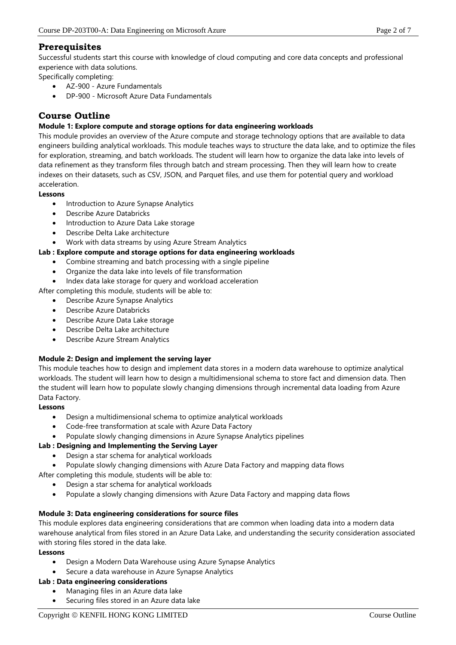## **Prerequisites**

Successful students start this course with knowledge of cloud computing and core data concepts and professional experience with data solutions.

Specifically completing:

- AZ-900 Azure Fundamentals
- DP-900 Microsoft Azure Data Fundamentals

# **Course Outline**

### **Module 1: Explore compute and storage options for data engineering workloads**

This module provides an overview of the Azure compute and storage technology options that are available to data engineers building analytical workloads. This module teaches ways to structure the data lake, and to optimize the files for exploration, streaming, and batch workloads. The student will learn how to organize the data lake into levels of data refinement as they transform files through batch and stream processing. Then they will learn how to create indexes on their datasets, such as CSV, JSON, and Parquet files, and use them for potential query and workload acceleration.

#### **Lessons**

- Introduction to Azure Synapse Analytics
- Describe Azure Databricks
- Introduction to Azure Data Lake storage
- Describe Delta Lake architecture
- Work with data streams by using Azure Stream Analytics
- **Lab : Explore compute and storage options for data engineering workloads**
	- Combine streaming and batch processing with a single pipeline
		- Organize the data lake into levels of file transformation
	- Index data lake storage for query and workload acceleration

After completing this module, students will be able to:

- Describe Azure Synapse Analytics
- Describe Azure Databricks
- Describe Azure Data Lake storage
- Describe Delta Lake architecture
- Describe Azure Stream Analytics

### **Module 2: Design and implement the serving layer**

This module teaches how to design and implement data stores in a modern data warehouse to optimize analytical workloads. The student will learn how to design a multidimensional schema to store fact and dimension data. Then the student will learn how to populate slowly changing dimensions through incremental data loading from Azure Data Factory.

### **Lessons**

- Design a multidimensional schema to optimize analytical workloads
- Code-free transformation at scale with Azure Data Factory
- Populate slowly changing dimensions in Azure Synapse Analytics pipelines

### **Lab : Designing and Implementing the Serving Layer**

- Design a star schema for analytical workloads
- Populate slowly changing dimensions with Azure Data Factory and mapping data flows

After completing this module, students will be able to:

- Design a star schema for analytical workloads
- Populate a slowly changing dimensions with Azure Data Factory and mapping data flows

### **Module 3: Data engineering considerations for source files**

This module explores data engineering considerations that are common when loading data into a modern data warehouse analytical from files stored in an Azure Data Lake, and understanding the security consideration associated with storing files stored in the data lake.

### **Lessons**

- Design a Modern Data Warehouse using Azure Synapse Analytics
- Secure a data warehouse in Azure Synapse Analytics

### **Lab : Data engineering considerations**

- Managing files in an Azure data lake
- Securing files stored in an Azure data lake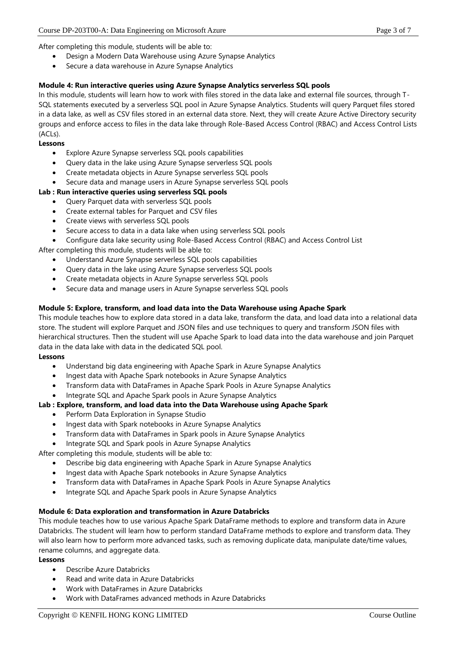After completing this module, students will be able to:

- Design a Modern Data Warehouse using Azure Synapse Analytics
- Secure a data warehouse in Azure Synapse Analytics

### **Module 4: Run interactive queries using Azure Synapse Analytics serverless SQL pools**

In this module, students will learn how to work with files stored in the data lake and external file sources, through T-SQL statements executed by a serverless SQL pool in Azure Synapse Analytics. Students will query Parquet files stored in a data lake, as well as CSV files stored in an external data store. Next, they will create Azure Active Directory security groups and enforce access to files in the data lake through Role-Based Access Control (RBAC) and Access Control Lists  $(AC|s)$ .

### **Lessons**

- Explore Azure Synapse serverless SQL pools capabilities
- Query data in the lake using Azure Synapse serverless SQL pools
- Create metadata objects in Azure Synapse serverless SQL pools
- Secure data and manage users in Azure Synapse serverless SQL pools

### **Lab : Run interactive queries using serverless SQL pools**

- Query Parquet data with serverless SQL pools
- Create external tables for Parquet and CSV files
- Create views with serverless SQL pools
- Secure access to data in a data lake when using serverless SQL pools
- Configure data lake security using Role-Based Access Control (RBAC) and Access Control List

After completing this module, students will be able to:

- Understand Azure Synapse serverless SQL pools capabilities
- Query data in the lake using Azure Synapse serverless SQL pools
- Create metadata objects in Azure Synapse serverless SQL pools
- Secure data and manage users in Azure Synapse serverless SQL pools

### **Module 5: Explore, transform, and load data into the Data Warehouse using Apache Spark**

This module teaches how to explore data stored in a data lake, transform the data, and load data into a relational data store. The student will explore Parquet and JSON files and use techniques to query and transform JSON files with hierarchical structures. Then the student will use Apache Spark to load data into the data warehouse and join Parquet data in the data lake with data in the dedicated SQL pool.

### **Lessons**

- Understand big data engineering with Apache Spark in Azure Synapse Analytics
- Ingest data with Apache Spark notebooks in Azure Synapse Analytics
- Transform data with DataFrames in Apache Spark Pools in Azure Synapse Analytics
- Integrate SQL and Apache Spark pools in Azure Synapse Analytics

### **Lab : Explore, transform, and load data into the Data Warehouse using Apache Spark**

- Perform Data Exploration in Synapse Studio
- Ingest data with Spark notebooks in Azure Synapse Analytics
- Transform data with DataFrames in Spark pools in Azure Synapse Analytics
- Integrate SQL and Spark pools in Azure Synapse Analytics

After completing this module, students will be able to:

- Describe big data engineering with Apache Spark in Azure Synapse Analytics
- Ingest data with Apache Spark notebooks in Azure Synapse Analytics
- Transform data with DataFrames in Apache Spark Pools in Azure Synapse Analytics
- Integrate SQL and Apache Spark pools in Azure Synapse Analytics

### **Module 6: Data exploration and transformation in Azure Databricks**

This module teaches how to use various Apache Spark DataFrame methods to explore and transform data in Azure Databricks. The student will learn how to perform standard DataFrame methods to explore and transform data. They will also learn how to perform more advanced tasks, such as removing duplicate data, manipulate date/time values, rename columns, and aggregate data.

### **Lessons**

- Describe Azure Databricks
- Read and write data in Azure Databricks
- Work with DataFrames in Azure Databricks
- Work with DataFrames advanced methods in Azure Databricks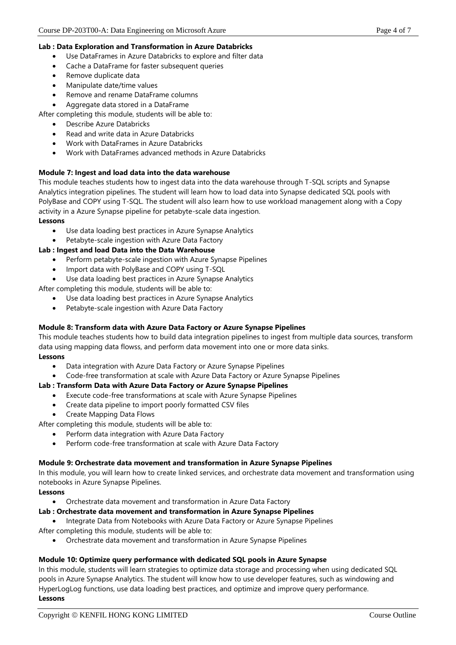#### **Lab : Data Exploration and Transformation in Azure Databricks**

- Use DataFrames in Azure Databricks to explore and filter data
- Cache a DataFrame for faster subsequent queries
- Remove duplicate data
- Manipulate date/time values
- Remove and rename DataFrame columns
- Aggregate data stored in a DataFrame

After completing this module, students will be able to:

- Describe Azure Databricks
- Read and write data in Azure Databricks
- Work with DataFrames in Azure Databricks
- Work with DataFrames advanced methods in Azure Databricks

#### **Module 7: Ingest and load data into the data warehouse**

This module teaches students how to ingest data into the data warehouse through T-SQL scripts and Synapse Analytics integration pipelines. The student will learn how to load data into Synapse dedicated SQL pools with PolyBase and COPY using T-SQL. The student will also learn how to use workload management along with a Copy activity in a Azure Synapse pipeline for petabyte-scale data ingestion.

#### **Lessons**

- Use data loading best practices in Azure Synapse Analytics
- Petabyte-scale ingestion with Azure Data Factory

#### **Lab : Ingest and load Data into the Data Warehouse**

- Perform petabyte-scale ingestion with Azure Synapse Pipelines
- Import data with PolyBase and COPY using T-SQL
- Use data loading best practices in Azure Synapse Analytics

After completing this module, students will be able to:

- Use data loading best practices in Azure Synapse Analytics
- Petabyte-scale ingestion with Azure Data Factory

### **Module 8: Transform data with Azure Data Factory or Azure Synapse Pipelines**

This module teaches students how to build data integration pipelines to ingest from multiple data sources, transform data using mapping data flowss, and perform data movement into one or more data sinks.

#### **Lessons**

- Data integration with Azure Data Factory or Azure Synapse Pipelines
- Code-free transformation at scale with Azure Data Factory or Azure Synapse Pipelines

### **Lab : Transform Data with Azure Data Factory or Azure Synapse Pipelines**

- Execute code-free transformations at scale with Azure Synapse Pipelines
- Create data pipeline to import poorly formatted CSV files
- Create Mapping Data Flows

After completing this module, students will be able to:

- Perform data integration with Azure Data Factory
- Perform code-free transformation at scale with Azure Data Factory

#### **Module 9: Orchestrate data movement and transformation in Azure Synapse Pipelines**

In this module, you will learn how to create linked services, and orchestrate data movement and transformation using notebooks in Azure Synapse Pipelines.

#### **Lessons**

• Orchestrate data movement and transformation in Azure Data Factory

### **Lab : Orchestrate data movement and transformation in Azure Synapse Pipelines**

• Integrate Data from Notebooks with Azure Data Factory or Azure Synapse Pipelines

After completing this module, students will be able to:

• Orchestrate data movement and transformation in Azure Synapse Pipelines

### **Module 10: Optimize query performance with dedicated SQL pools in Azure Synapse**

In this module, students will learn strategies to optimize data storage and processing when using dedicated SQL pools in Azure Synapse Analytics. The student will know how to use developer features, such as windowing and HyperLogLog functions, use data loading best practices, and optimize and improve query performance. **Lessons**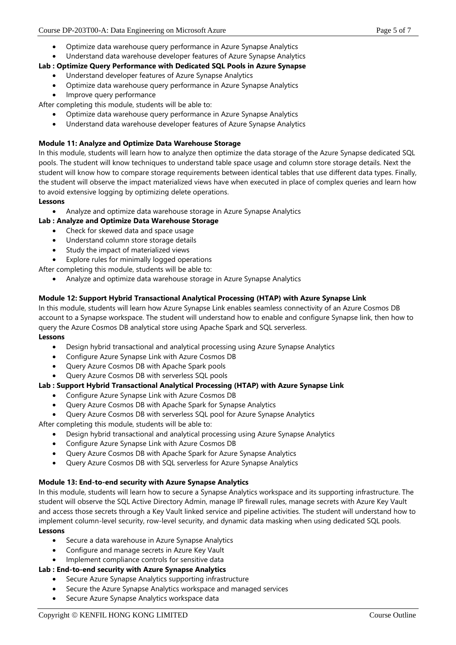- Optimize data warehouse query performance in Azure Synapse Analytics
- Understand data warehouse developer features of Azure Synapse Analytics

### **Lab : Optimize Query Performance with Dedicated SQL Pools in Azure Synapse**

#### • Understand developer features of Azure Synapse Analytics

- Optimize data warehouse query performance in Azure Synapse Analytics
- Improve query performance

After completing this module, students will be able to:

- Optimize data warehouse query performance in Azure Synapse Analytics
- Understand data warehouse developer features of Azure Synapse Analytics

### **Module 11: Analyze and Optimize Data Warehouse Storage**

In this module, students will learn how to analyze then optimize the data storage of the Azure Synapse dedicated SQL pools. The student will know techniques to understand table space usage and column store storage details. Next the student will know how to compare storage requirements between identical tables that use different data types. Finally, the student will observe the impact materialized views have when executed in place of complex queries and learn how to avoid extensive logging by optimizing delete operations.

#### **Lessons**

• Analyze and optimize data warehouse storage in Azure Synapse Analytics

### **Lab : Analyze and Optimize Data Warehouse Storage**

- Check for skewed data and space usage
- Understand column store storage details
- Study the impact of materialized views
- Explore rules for minimally logged operations

After completing this module, students will be able to:

• Analyze and optimize data warehouse storage in Azure Synapse Analytics

### **Module 12: Support Hybrid Transactional Analytical Processing (HTAP) with Azure Synapse Link**

In this module, students will learn how Azure Synapse Link enables seamless connectivity of an Azure Cosmos DB account to a Synapse workspace. The student will understand how to enable and configure Synapse link, then how to query the Azure Cosmos DB analytical store using Apache Spark and SQL serverless. **Lessons**

- Design hybrid transactional and analytical processing using Azure Synapse Analytics
- Configure Azure Synapse Link with Azure Cosmos DB
- Query Azure Cosmos DB with Apache Spark pools
- Query Azure Cosmos DB with serverless SQL pools

### **Lab : Support Hybrid Transactional Analytical Processing (HTAP) with Azure Synapse Link**

- Configure Azure Synapse Link with Azure Cosmos DB
- Query Azure Cosmos DB with Apache Spark for Synapse Analytics
- Query Azure Cosmos DB with serverless SQL pool for Azure Synapse Analytics

After completing this module, students will be able to:

- Design hybrid transactional and analytical processing using Azure Synapse Analytics
- Configure Azure Synapse Link with Azure Cosmos DB
- Query Azure Cosmos DB with Apache Spark for Azure Synapse Analytics
- Query Azure Cosmos DB with SQL serverless for Azure Synapse Analytics

# **Module 13: End-to-end security with Azure Synapse Analytics**

In this module, students will learn how to secure a Synapse Analytics workspace and its supporting infrastructure. The student will observe the SQL Active Directory Admin, manage IP firewall rules, manage secrets with Azure Key Vault and access those secrets through a Key Vault linked service and pipeline activities. The student will understand how to implement column-level security, row-level security, and dynamic data masking when using dedicated SQL pools. **Lessons**

- Secure a data warehouse in Azure Synapse Analytics
- Configure and manage secrets in Azure Key Vault
- Implement compliance controls for sensitive data

# **Lab : End-to-end security with Azure Synapse Analytics**

- Secure Azure Synapse Analytics supporting infrastructure
- Secure the Azure Synapse Analytics workspace and managed services
- Secure Azure Synapse Analytics workspace data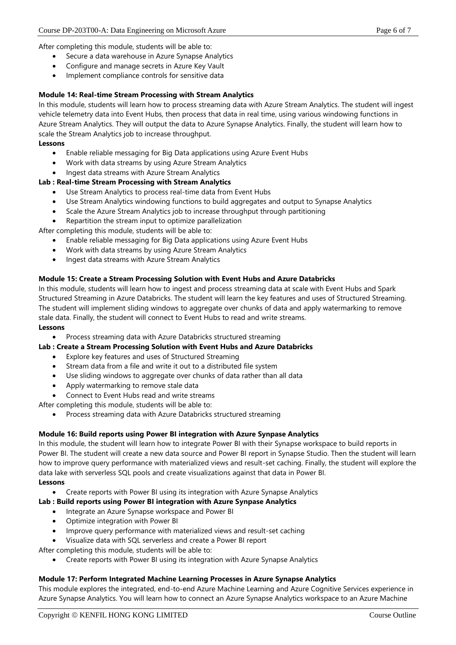After completing this module, students will be able to:

- Secure a data warehouse in Azure Synapse Analytics
- Configure and manage secrets in Azure Key Vault
- Implement compliance controls for sensitive data

### **Module 14: Real-time Stream Processing with Stream Analytics**

In this module, students will learn how to process streaming data with Azure Stream Analytics. The student will ingest vehicle telemetry data into Event Hubs, then process that data in real time, using various windowing functions in Azure Stream Analytics. They will output the data to Azure Synapse Analytics. Finally, the student will learn how to scale the Stream Analytics job to increase throughput.

#### **Lessons**

- Enable reliable messaging for Big Data applications using Azure Event Hubs
- Work with data streams by using Azure Stream Analytics
- Ingest data streams with Azure Stream Analytics

### **Lab : Real-time Stream Processing with Stream Analytics**

- Use Stream Analytics to process real-time data from Event Hubs
- Use Stream Analytics windowing functions to build aggregates and output to Synapse Analytics
- Scale the Azure Stream Analytics job to increase throughput through partitioning
- Repartition the stream input to optimize parallelization

After completing this module, students will be able to:

- Enable reliable messaging for Big Data applications using Azure Event Hubs
- Work with data streams by using Azure Stream Analytics
- Ingest data streams with Azure Stream Analytics

### **Module 15: Create a Stream Processing Solution with Event Hubs and Azure Databricks**

In this module, students will learn how to ingest and process streaming data at scale with Event Hubs and Spark Structured Streaming in Azure Databricks. The student will learn the key features and uses of Structured Streaming. The student will implement sliding windows to aggregate over chunks of data and apply watermarking to remove stale data. Finally, the student will connect to Event Hubs to read and write streams.

#### **Lessons**

• Process streaming data with Azure Databricks structured streaming

#### **Lab : Create a Stream Processing Solution with Event Hubs and Azure Databricks**

- Explore key features and uses of Structured Streaming
- Stream data from a file and write it out to a distributed file system
- Use sliding windows to aggregate over chunks of data rather than all data
- Apply watermarking to remove stale data
- Connect to Event Hubs read and write streams

After completing this module, students will be able to:

• Process streaming data with Azure Databricks structured streaming

### **Module 16: Build reports using Power BI integration with Azure Synpase Analytics**

In this module, the student will learn how to integrate Power BI with their Synapse workspace to build reports in Power BI. The student will create a new data source and Power BI report in Synapse Studio. Then the student will learn how to improve query performance with materialized views and result-set caching. Finally, the student will explore the data lake with serverless SQL pools and create visualizations against that data in Power BI.

#### **Lessons**

• Create reports with Power BI using its integration with Azure Synapse Analytics

### **Lab : Build reports using Power BI integration with Azure Synpase Analytics**

- Integrate an Azure Synapse workspace and Power BI
- Optimize integration with Power BI
- Improve query performance with materialized views and result-set caching
- Visualize data with SQL serverless and create a Power BI report
- After completing this module, students will be able to:
	- Create reports with Power BI using its integration with Azure Synapse Analytics

#### **Module 17: Perform Integrated Machine Learning Processes in Azure Synapse Analytics**

This module explores the integrated, end-to-end Azure Machine Learning and Azure Cognitive Services experience in Azure Synapse Analytics. You will learn how to connect an Azure Synapse Analytics workspace to an Azure Machine